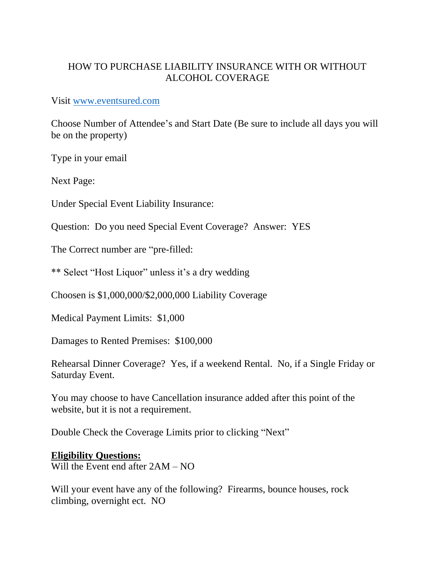## HOW TO PURCHASE LIABILITY INSURANCE WITH OR WITHOUT ALCOHOL COVERAGE

## Visit [www.eventsured.com](http://www.eventsured.com/)

Choose Number of Attendee's and Start Date (Be sure to include all days you will be on the property)

Type in your email

Next Page:

Under Special Event Liability Insurance:

Question: Do you need Special Event Coverage? Answer: YES

The Correct number are "pre-filled:

\*\* Select "Host Liquor" unless it's a dry wedding

Choosen is \$1,000,000/\$2,000,000 Liability Coverage

Medical Payment Limits: \$1,000

Damages to Rented Premises: \$100,000

Rehearsal Dinner Coverage? Yes, if a weekend Rental. No, if a Single Friday or Saturday Event.

You may choose to have Cancellation insurance added after this point of the website, but it is not a requirement.

Double Check the Coverage Limits prior to clicking "Next"

## **Eligibility Questions:**

Will the Event end after 2AM – NO

Will your event have any of the following? Firearms, bounce houses, rock climbing, overnight ect. NO